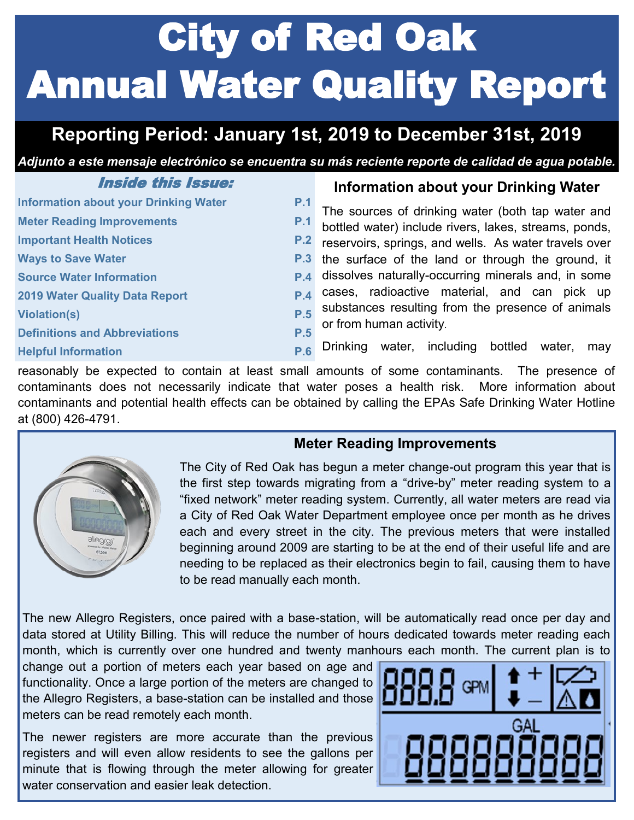# City of Red Oak Annual Water Quality Report

## **Reporting Period: January 1st, 2019 to December 31st, 2019**

*Adjunto a este mensaje electrónico se encuentra su más reciente reporte de calidad de agua potable.*

| <i><b>Inside this Issue:</b></i>             |     |
|----------------------------------------------|-----|
| <b>Information about your Drinking Water</b> | P.1 |
| <b>Meter Reading Improvements</b>            | P.1 |
| <b>Important Health Notices</b>              | P.2 |
| <b>Ways to Save Water</b>                    | P.3 |
| <b>Source Water Information</b>              | P.4 |
| <b>2019 Water Quality Data Report</b>        | P.4 |
| <b>Violation(s)</b>                          | P.5 |
| <b>Definitions and Abbreviations</b>         | P.5 |
| <b>Helpful Information</b>                   | P.6 |

#### **Information about your Drinking Water**

The sources of drinking water (both tap water and bottled water) include rivers, lakes, streams, ponds, reservoirs, springs, and wells. As water travels over the surface of the land or through the ground, it dissolves naturally-occurring minerals and, in some cases, radioactive material, and can pick up substances resulting from the presence of animals or from human activity.

Drinking water, including bottled water, may

reasonably be expected to contain at least small amounts of some contaminants. The presence of contaminants does not necessarily indicate that water poses a health risk. More information about contaminants and potential health effects can be obtained by calling the EPAs Safe Drinking Water Hotline at (800) 426-4791.





The City of Red Oak has begun a meter change-out program this year that is the first step towards migrating from a "drive-by" meter reading system to a "fixed network" meter reading system. Currently, all water meters are read via a City of Red Oak Water Department employee once per month as he drives each and every street in the city. The previous meters that were installed beginning around 2009 are starting to be at the end of their useful life and are needing to be replaced as their electronics begin to fail, causing them to have to be read manually each month.

The new Allegro Registers, once paired with a base-station, will be automatically read once per day and data stored at Utility Billing. This will reduce the number of hours dedicated towards meter reading each month, which is currently over one hundred and twenty manhours each month. The current plan is to

change out a portion of meters each year based on age and functionality. Once a large portion of the meters are changed to the Allegro Registers, a base-station can be installed and those meters can be read remotely each month.

The newer registers are more accurate than the previous registers and will even allow residents to see the gallons per minute that is flowing through the meter allowing for greater water conservation and easier leak detection

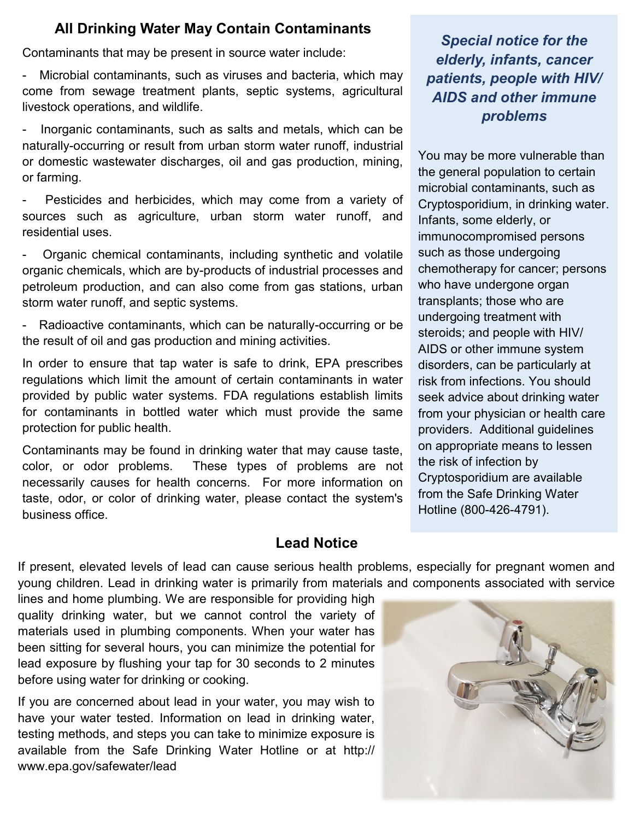#### **All Drinking Water May Contain Contaminants**

Contaminants that may be present in source water include:

Microbial contaminants, such as viruses and bacteria, which may come from sewage treatment plants, septic systems, agricultural livestock operations, and wildlife.

Inorganic contaminants, such as salts and metals, which can be naturally-occurring or result from urban storm water runoff, industrial or domestic wastewater discharges, oil and gas production, mining, or farming.

Pesticides and herbicides, which may come from a variety of sources such as agriculture, urban storm water runoff, and residential uses.

- Organic chemical contaminants, including synthetic and volatile organic chemicals, which are by-products of industrial processes and petroleum production, and can also come from gas stations, urban storm water runoff, and septic systems.

Radioactive contaminants, which can be naturally-occurring or be the result of oil and gas production and mining activities.

In order to ensure that tap water is safe to drink, EPA prescribes regulations which limit the amount of certain contaminants in water provided by public water systems. FDA regulations establish limits for contaminants in bottled water which must provide the same protection for public health.

Contaminants may be found in drinking water that may cause taste, color, or odor problems. These types of problems are not necessarily causes for health concerns. For more information on taste, odor, or color of drinking water, please contact the system's business office.

*Special notice for the elderly, infants, cancer patients, people with HIV/ AIDS and other immune problems*

You may be more vulnerable than the general population to certain microbial contaminants, such as Cryptosporidium, in drinking water. Infants, some elderly, or immunocompromised persons such as those undergoing chemotherapy for cancer; persons who have undergone organ transplants; those who are undergoing treatment with steroids; and people with HIV/ AIDS or other immune system disorders, can be particularly at risk from infections. You should seek advice about drinking water from your physician or health care providers. Additional guidelines on appropriate means to lessen the risk of infection by Cryptosporidium are available from the Safe Drinking Water Hotline (800-426-4791).

#### **Lead Notice**

If present, elevated levels of lead can cause serious health problems, especially for pregnant women and young children. Lead in drinking water is primarily from materials and components associated with service

lines and home plumbing. We are responsible for providing high quality drinking water, but we cannot control the variety of materials used in plumbing components. When your water has been sitting for several hours, you can minimize the potential for lead exposure by flushing your tap for 30 seconds to 2 minutes before using water for drinking or cooking.

If you are concerned about lead in your water, you may wish to have your water tested. Information on lead in drinking water, testing methods, and steps you can take to minimize exposure is available from the Safe Drinking Water Hotline or at http:// www.epa.gov/safewater/lead

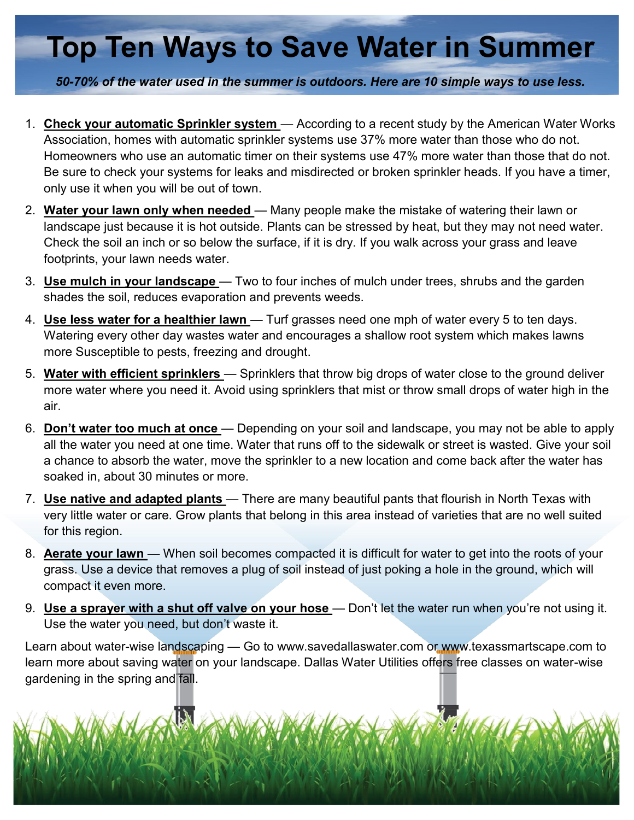## **Top Ten Ways to Save Water in Summer**

*50-70% of the water used in the summer is outdoors. Here are 10 simple ways to use less.*

- 1. **Check your automatic Sprinkler system**  According to a recent study by the American Water Works Association, homes with automatic sprinkler systems use 37% more water than those who do not. Homeowners who use an automatic timer on their systems use 47% more water than those that do not. Be sure to check your systems for leaks and misdirected or broken sprinkler heads. If you have a timer, only use it when you will be out of town.
- 2. **Water your lawn only when needed**  Many people make the mistake of watering their lawn or landscape just because it is hot outside. Plants can be stressed by heat, but they may not need water. Check the soil an inch or so below the surface, if it is dry. If you walk across your grass and leave footprints, your lawn needs water.
- 3. **Use mulch in your landscape**  Two to four inches of mulch under trees, shrubs and the garden shades the soil, reduces evaporation and prevents weeds.
- 4. **Use less water for a healthier lawn**  Turf grasses need one mph of water every 5 to ten days. Watering every other day wastes water and encourages a shallow root system which makes lawns more Susceptible to pests, freezing and drought.
- 5. **Water with efficient sprinklers**  Sprinklers that throw big drops of water close to the ground deliver more water where you need it. Avoid using sprinklers that mist or throw small drops of water high in the air.
- 6. **Don't water too much at once**  Depending on your soil and landscape, you may not be able to apply all the water you need at one time. Water that runs off to the sidewalk or street is wasted. Give your soil a chance to absorb the water, move the sprinkler to a new location and come back after the water has soaked in, about 30 minutes or more.
- 7. **Use native and adapted plants**  There are many beautiful pants that flourish in North Texas with very little water or care. Grow plants that belong in this area instead of varieties that are no well suited for this region.
- 8. **Aerate your lawn**  When soil becomes compacted it is difficult for water to get into the roots of your grass. Use a device that removes a plug of soil instead of just poking a hole in the ground, which will compact it even more.
- 9. **Use a sprayer with a shut off valve on your hose**  Don't let the water run when you're not using it. Use the water you need, but don't waste it.

Learn about water-wise landscaping — Go to www.savedallaswater.com or www.texassmartscape.com to learn more about saving water on your landscape. Dallas Water Utilities offers free classes on water-wise gardening in the spring and fall.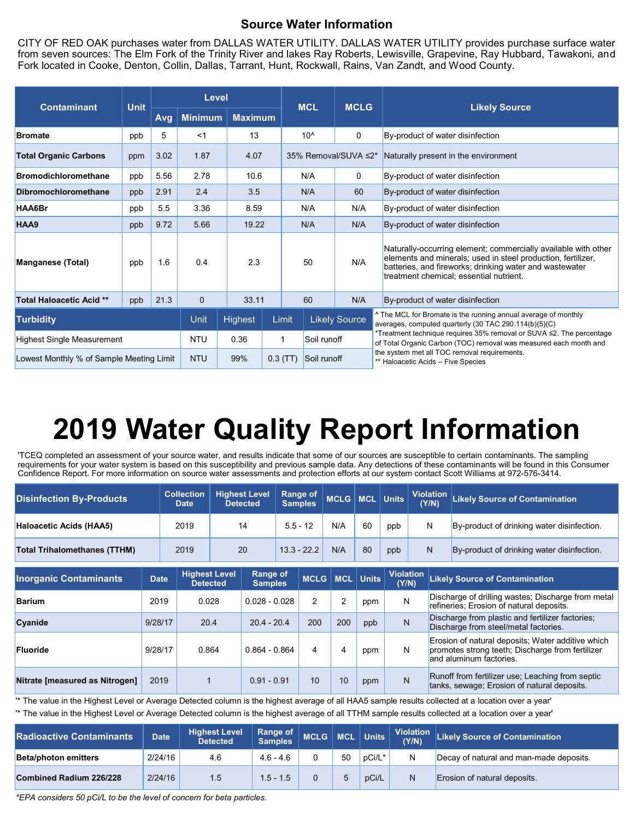#### **Source Water Information**

CITY OF RED OAK purchases water from DALLAS WATER UTILITY. DALLAS WATER UTILITY provides purchase surface water from seven sources: The Elm Fork of the Trinity River and lakes Ray Roberts, Lewisville, Grapevine, Ray Hubbard, Tawakoni, and Fork located in Cooke, Denton, Collin, Dallas, Tarrant, Hunt, Rockwall, Rains, Van Zandt, and Wood County.

| <b>Contaminant</b>                       | <b>Unit</b> | Level      |                |                |       | <b>MCL</b>           |             | <b>MCLG</b>                                                                        |                                                                                                                                                                                                                                      |  |  |
|------------------------------------------|-------------|------------|----------------|----------------|-------|----------------------|-------------|------------------------------------------------------------------------------------|--------------------------------------------------------------------------------------------------------------------------------------------------------------------------------------------------------------------------------------|--|--|
|                                          |             | Avg        | <b>Minimum</b> | <b>Maximum</b> |       |                      |             |                                                                                    | <b>Likely Source</b>                                                                                                                                                                                                                 |  |  |
| <b>Bromate</b>                           | ppb         | 5          | <1             | 13             |       | $10^$                |             | 0                                                                                  | By-product of water disinfection                                                                                                                                                                                                     |  |  |
| <b>Total Organic Carbons</b>             | ppm         | 3.02       | 1.87           | 4.07           |       | 35% Removal/SUVA ≤2* |             |                                                                                    | Naturally present in the environment                                                                                                                                                                                                 |  |  |
| <b>Bromodichloromethane</b>              | ppb         | 5.56       | 2.78           | 10.6           |       | N/A                  |             | 0                                                                                  | By-product of water disinfection                                                                                                                                                                                                     |  |  |
| <b>Dibromochloromethane</b>              | ppb         | 2.91       | 2.4            | 3.5            |       |                      | N/A         | 60                                                                                 | By-product of water disinfection                                                                                                                                                                                                     |  |  |
| HAA6Br                                   | ppb         | 5.5        | 3.36           |                | 8.59  |                      | N/A         | N/A                                                                                | By-product of water disinfection                                                                                                                                                                                                     |  |  |
| HAA9                                     | ppb         | 9.72       | 5.66           | 19.22          |       | N/A                  |             | N/A                                                                                | By-product of water disinfection                                                                                                                                                                                                     |  |  |
| <b>Manganese (Total)</b>                 | ppb         | 1.6        | 0.4            | 2.3            |       |                      | 50          | N/A                                                                                | Naturally-occurring element; commercially available with other<br>elements and minerals; used in steel production, fertilizer,<br>batteries, and fireworks; drinking water and wastewater<br>treatment chemical; essential nutrient. |  |  |
| <b>Total Haloacetic Acid **</b>          | ppb         | 21.3       | $\mathbf{0}$   | 33.11          |       | 60                   |             | N/A                                                                                | By-product of water disinfection                                                                                                                                                                                                     |  |  |
| <b>Turbidity</b>                         |             |            | Unit           | Highest        | Limit |                      |             | <b>Likely Source</b>                                                               | ^ The MCL for Bromate is the running annual average of monthly<br>averages, computed quarterly (30 TAC 290.114(b)(5)(C)                                                                                                              |  |  |
| <b>Highest Single Measurement</b>        |             |            | <b>NTU</b>     | 0.36           |       |                      | Soil runoff |                                                                                    | *Treatment technique requires 35% removal or SUVA ≤2. The percentage<br>of Total Organic Carbon (TOC) removal was measured each month and                                                                                            |  |  |
| Lowest Monthly % of Sample Meeting Limit |             | <b>NTU</b> | 99%            | $0.3$ (TT)     |       | Soil runoff          |             | the system met all TOC removal requirements.<br>** Haloacetic Acids - Five Species |                                                                                                                                                                                                                                      |  |  |

## **2019 Water Quality Report Information**

'TCEQ completed an assessment of your source water, and results indicate that some of our sources are susceptible to certain contaminants. The sampling requirements for your water system is based on this susceptibility and previous sample data. Any detections of these contaminants will be found in this Consumer Confidence Report. For more information on source water assessments and protection efforts at our system contact Scott Williams at 972-576-3414.

| <b>Disinfection By-Products</b>     | <b>Collection</b><br><b>Date</b> |                                         | <b>Highest Level</b><br><b>Detected</b> |                                   | Range of<br><b>Samples</b> |               | MCLG   MCL   Units |     |              |                  | <b>Violation</b><br>(Y/N) | <b>Likely Source of Contamination</b>                                                                                            |
|-------------------------------------|----------------------------------|-----------------------------------------|-----------------------------------------|-----------------------------------|----------------------------|---------------|--------------------|-----|--------------|------------------|---------------------------|----------------------------------------------------------------------------------------------------------------------------------|
| <b>Haloacetic Acids (HAA5)</b>      | 2019                             |                                         |                                         | 14                                |                            | $5.5 - 12$    | N/A                | 60  | ppb          |                  | N                         | By-product of drinking water disinfection.                                                                                       |
| <b>Total Trihalomethanes (TTHM)</b> | 2019                             |                                         |                                         | 20                                |                            | $13.3 - 22.2$ |                    | 80  | ppb          |                  | N                         | By-product of drinking water disinfection.                                                                                       |
| <b>Inorganic Contaminants</b>       | <b>Date</b>                      | <b>Highest Level</b><br><b>Detected</b> |                                         | <b>Range of</b><br><b>Samples</b> |                            |               | MCLG   MCL   Units |     | (Y/N)        | <b>Violation</b> |                           | <b>Likely Source of Contamination</b>                                                                                            |
| <b>Barium</b>                       | 2019                             |                                         | 0.028                                   |                                   | $0.028 - 0.028$            |               | 2                  | ppm | N            |                  |                           | Discharge of drilling wastes; Discharge from metal<br>refineries; Erosion of natural deposits.                                   |
| Cyanide                             | 9/28/17                          |                                         | 20.4                                    |                                   | $20.4 - 20.4$              |               | 200                | ppb | N            |                  |                           | Discharge from plastic and fertilizer factories;<br>Discharge from steel/metal factories.                                        |
| <b>Fluoride</b>                     | 9/28/17                          | 0.864                                   |                                         | $0.864 - 0.864$                   |                            | 4             | 4                  | ppm | N            |                  |                           | Erosion of natural deposits; Water additive which<br>promotes strong teeth; Discharge from fertilizer<br>and aluminum factories. |
| Nitrate [measured as Nitrogen]      | 2019                             |                                         |                                         | $0.91 - 0.91$                     |                            | 10            | 10                 | ppm | $\mathsf{N}$ |                  |                           | Runoff from fertilizer use; Leaching from septic<br>tanks, sewage; Erosion of natural deposits.                                  |

'\* The value in the Highest Level or Average Detected column is the highest average of all HAA5 sample results collected at a location over a year' '\* The value in the Highest Level or Average Detected column is the highest average of all TTHM sample results collected at a location over a year'

| <b>Radioactive Contaminants.</b> | <b>Date</b> | <b>Highest Level</b><br><b>Detected</b> | Range of $\parallel$<br><b>Samples</b> | $\vert$ MCLG $\vert$ MCL |    | $\vert$ Units $\vert$ | (Y/N) | Violation Likely Source of Contamination |
|----------------------------------|-------------|-----------------------------------------|----------------------------------------|--------------------------|----|-----------------------|-------|------------------------------------------|
| <b>Beta/photon emitters</b>      | 2/24/16     | 4.6                                     | $4.6 - 4.6$                            |                          | 50 | pCi/L*                | N     | Decay of natural and man-made deposits.  |
| Combined Radium 226/228          | 2/24/16     | 1.5                                     | 1.5 - 1.5                              |                          |    | pCi/L                 | N     | Erosion of natural deposits.             |

*\*EPA considers 50 pCi/L to be the level of concern for beta particles.*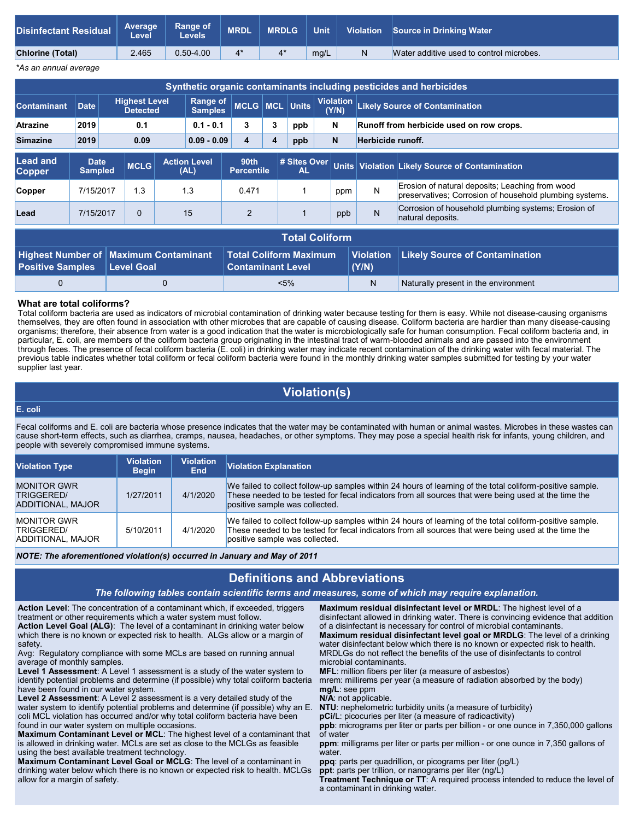| <b>Disinfectant Residual</b> | <b>Average</b><br><b>Level</b> | <b>Range of</b><br>Levels | <b>MRDL</b> | <b>MRDLG</b> | <b>Unit</b> | <b>Violation</b> | Source in Drinking Water                 |
|------------------------------|--------------------------------|---------------------------|-------------|--------------|-------------|------------------|------------------------------------------|
| <b>Chlorine (Total)</b>      | 2.465                          | $0.50 - 4.00$             | 4*          |              | mg/L        | N                | Water additive used to control microbes. |
|                              |                                |                           |             |              |             |                  |                                          |

*\*As an annual average*

| Synthetic organic contaminants including pesticides and herbicides |                                                     |                                         |             |             |                                               |                              |              |                               |  |                                          |                  |                                                                                                            |
|--------------------------------------------------------------------|-----------------------------------------------------|-----------------------------------------|-------------|-------------|-----------------------------------------------|------------------------------|--------------|-------------------------------|--|------------------------------------------|------------------|------------------------------------------------------------------------------------------------------------|
| <b>Contaminant</b>                                                 | <b>Date</b>                                         | <b>Highest Level</b><br><b>Detected</b> |             |             | <b>Range of</b><br>MCLG MCL<br><b>Samples</b> |                              | <b>Units</b> | <b>Violation</b><br>(Y/N)     |  | <b>Likely Source of Contamination</b>    |                  |                                                                                                            |
| <b>Atrazine</b>                                                    | 2019                                                | 0.1                                     |             | $0.1 - 0.1$ | 3                                             | 3                            | ppb          | N                             |  | Runoff from herbicide used on row crops. |                  |                                                                                                            |
| <b>Simazine</b>                                                    | 2019                                                | 0.09                                    |             |             | $0.09 - 0.09$                                 | $\mathbf N$<br>4<br>ppb<br>4 |              |                               |  | Herbicide runoff.                        |                  |                                                                                                            |
| <b>Lead and</b><br><b>Copper</b>                                   | <b>Date</b><br><b>Sampled</b>                       |                                         | <b>MCLG</b> |             | <b>Action Level</b><br>(AL)                   | 90th<br><b>Percentile</b>    |              | # Sites Over<br><b>AL</b>     |  |                                          |                  | Units Violation Likely Source of Contamination                                                             |
| Copper                                                             | 7/15/2017                                           |                                         | 1.3         |             | 1.3                                           | 0.471                        |              |                               |  | ppm                                      | N                | Erosion of natural deposits; Leaching from wood<br>preservatives; Corrosion of household plumbing systems. |
| Lead                                                               | 7/15/2017                                           |                                         | 0           |             | 15                                            | $\overline{2}$               |              |                               |  | ppb                                      | N                | Corrosion of household plumbing systems; Erosion of<br>natural deposits.                                   |
|                                                                    | <b>Total Coliform</b>                               |                                         |             |             |                                               |                              |              |                               |  |                                          |                  |                                                                                                            |
|                                                                    | <b>Maximum Contaminant</b><br>│ Hiahest Number of │ |                                         |             |             |                                               |                              |              | <b>Total Coliform Maximum</b> |  |                                          | <b>Violation</b> | <b>Likely Source of Contamination</b>                                                                      |

#### **What are total coliforms?**

**Level Goal**

**Positive Samples**

Total coliform bacteria are used as indicators of microbial contamination of drinking water because testing for them is easy. While not disease-causing organisms themselves, they are often found in association with other microbes that are capable of causing disease. Coliform bacteria are hardier than many disease-causing organisms; therefore, their absence from water is a good indication that the water is microbiologically safe for human consumption. Fecal coliform bacteria and, in particular, E. coli, are members of the coliform bacteria group originating in the intestinal tract of warm-blooded animals and are passed into the environment through feces. The presence of fecal coliform bacteria (E. coli) in drinking water may indicate recent contamination of the drinking water with fecal material. The previous table indicates whether total coliform or fecal coliform bacteria were found in the monthly drinking water samples submitted for testing by your water supplier last year.

**(Y/N)**

**Contaminant Level**

0 0 0  $\leq 5\%$  N Naturally present in the environment

#### **Violation(s)**

#### **E. coli**

Fecal coliforms and E. coli are bacteria whose presence indicates that the water may be contaminated with human or animal wastes. Microbes in these wastes can cause short-term effects, such as diarrhea, cramps, nausea, headaches, or other symptoms. They may pose a special health risk for infants, young children, and people with severely compromised immune systems.

| <b>Violation Type</b>                                 | <b>Violation</b><br><b>Begin</b> | <b>Violation</b><br>End | Violation Explanation                                                                                                                                                                                                                               |
|-------------------------------------------------------|----------------------------------|-------------------------|-----------------------------------------------------------------------------------------------------------------------------------------------------------------------------------------------------------------------------------------------------|
| <b>MONITOR GWR</b><br>TRIGGERED/<br>ADDITIONAL, MAJOR | 1/27/2011                        | 4/1/2020                | We failed to collect follow-up samples within 24 hours of learning of the total coliform-positive sample.<br>These needed to be tested for fecal indicators from all sources that were being used at the time the<br>positive sample was collected. |
| <b>MONITOR GWR</b><br>TRIGGERED/<br>ADDITIONAL, MAJOR | 5/10/2011                        | 4/1/2020                | We failed to collect follow-up samples within 24 hours of learning of the total coliform-positive sample.<br>These needed to be tested for fecal indicators from all sources that were being used at the time the<br>positive sample was collected. |

*NOTE: The aforementioned violation(s) occurred in January and May of 2011*

#### **Definitions and Abbreviations**

#### *The following tables contain scientific terms and measures, some of which may require explanation.*

**Action Level**: The concentration of a contaminant which, if exceeded, triggers treatment or other requirements which a water system must follow. **Action Level Goal (ALG)**: The level of a contaminant in drinking water below

which there is no known or expected risk to health. ALGs allow or a margin of safety. Avg: Regulatory compliance with some MCLs are based on running annual

average of monthly samples.

**Level 1 Assessment**: A Level 1 assessment is a study of the water system to identify potential problems and determine (if possible) why total coliform bacteria have been found in our water system.

**Level 2 Assessment**: A Level 2 assessment is a very detailed study of the water system to identify potential problems and determine (if possible) why an E. coli MCL violation has occurred and/or why total coliform bacteria have been found in our water system on multiple occasions.

**Maximum Contaminant Level or MCL**: The highest level of a contaminant that is allowed in drinking water. MCLs are set as close to the MCLGs as feasible using the best available treatment technology.

**Maximum Contaminant Level Goal or MCLG**: The level of a contaminant in drinking water below which there is no known or expected risk to health. MCLGs allow for a margin of safety.

**Maximum residual disinfectant level or MRDL**: The highest level of a disinfectant allowed in drinking water. There is convincing evidence that addition of a disinfectant is necessary for control of microbial contaminants. **Maximum residual disinfectant level goal or MRDLG**: The level of a drinking water disinfectant below which there is no known or expected risk to health.

MRDLGs do not reflect the benefits of the use of disinfectants to control microbial contaminants.

**MFL**: million fibers per liter (a measure of asbestos)

mrem: millirems per year (a measure of radiation absorbed by the body) **mg/L**: see ppm

**N/A**: not applicable.

**NTU**: nephelometric turbidity units (a measure of turbidity)

**pCi/**L: picocuries per liter (a measure of radioactivity)

**ppb**: micrograms per liter or parts per billion - or one ounce in 7,350,000 gallons of water

**ppm**: milligrams per liter or parts per million - or one ounce in 7,350 gallons of water.

**ppq**: parts per quadrillion, or picograms per liter (pg/L)

**ppt**: parts per trillion, or nanograms per liter (ng/L)

**Treatment Technique or TT**: A required process intended to reduce the level of a contaminant in drinking water.